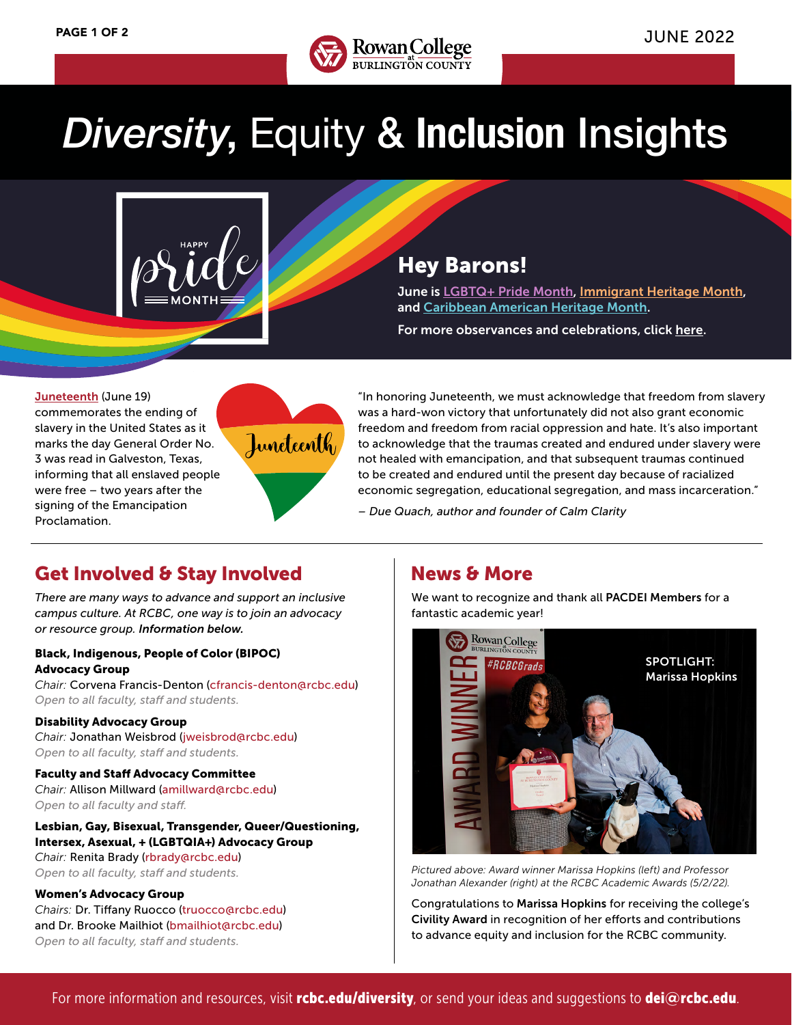

# *Diversity*, Equity & **Inclusion** Insights



# Hey Barons!

June is [LGBTQ+ Pride Month](https://www.loc.gov/lgbt-pride-month/about/), [Immigrant Heritage Month,](https://www.iamanimmigrant.com/about-us/) and [Caribbean American Heritage Month](https://www.doi.gov/sites/doi.gov/files/uploads/national-caribbean-american-heritage-month-infographic.pdf).

For more observances and celebrations, click [here.](https://www.rcbc.edu/sites/default/files/Documents/diversity/Cultural%20Observances%20and%20Causes%20Calendar_web%20Compliant.pdf)

[Juneteenth](https://www.npr.org/2021/06/17/1007315228/juneteenth-what-is-origin-observation) (June 19) commemorates the ending of slavery in the United States as it marks the day General Order No. 3 was read in Galveston, Texas, informing that all enslaved people were free – two years after the signing of the Emancipation Proclamation.



"In honoring Juneteenth, we must acknowledge that freedom from slavery was a hard-won victory that unfortunately did not also grant economic freedom and freedom from racial oppression and hate. It's also important to acknowledge that the traumas created and endured under slavery were not healed with emancipation, and that subsequent traumas continued to be created and endured until the present day because of racialized economic segregation, educational segregation, and mass incarceration."

*– Due Quach, author and founder of Calm Clarity*

# Get Involved & Stay Involved Mews & More

*There are many ways to advance and support an inclusive campus culture. At RCBC, one way is to join an advocacy or resource group. Information below.*

#### Black, Indigenous, People of Color (BIPOC) Advocacy Group

*Chair:* Corvena Francis-Denton (cfrancis-denton@rcbc.edu) *Open to all faculty, staff and students.*

#### Disability Advocacy Group

*Chair:* Jonathan Weisbrod (jweisbrod@rcbc.edu) *Open to all faculty, staff and students.*

Faculty and Staff Advocacy Committee *Chair:* Allison Millward (amillward@rcbc.edu) *Open to all faculty and staff.*

### Lesbian, Gay, Bisexual, Transgender, Queer/Questioning, Intersex, Asexual, + (LGBTQIA+) Advocacy Group

*Chair:* Renita Brady (rbrady@rcbc.edu) *Open to all faculty, staff and students.*

#### Women's Advocacy Group

*Chairs:* Dr. Tiffany Ruocco (truocco@rcbc.edu) and Dr. Brooke Mailhiot (bmailhiot@rcbc.edu) *Open to all faculty, staff and students.*

We want to recognize and thank all PACDEI Members for a fantastic academic year!



*Pictured above: Award winner Marissa Hopkins (left) and Professor Jonathan Alexander (right) at the RCBC Academic Awards (5/2/22).*

Congratulations to Marissa Hopkins for receiving the college's Civility Award in recognition of her efforts and contributions to advance equity and inclusion for the RCBC community.